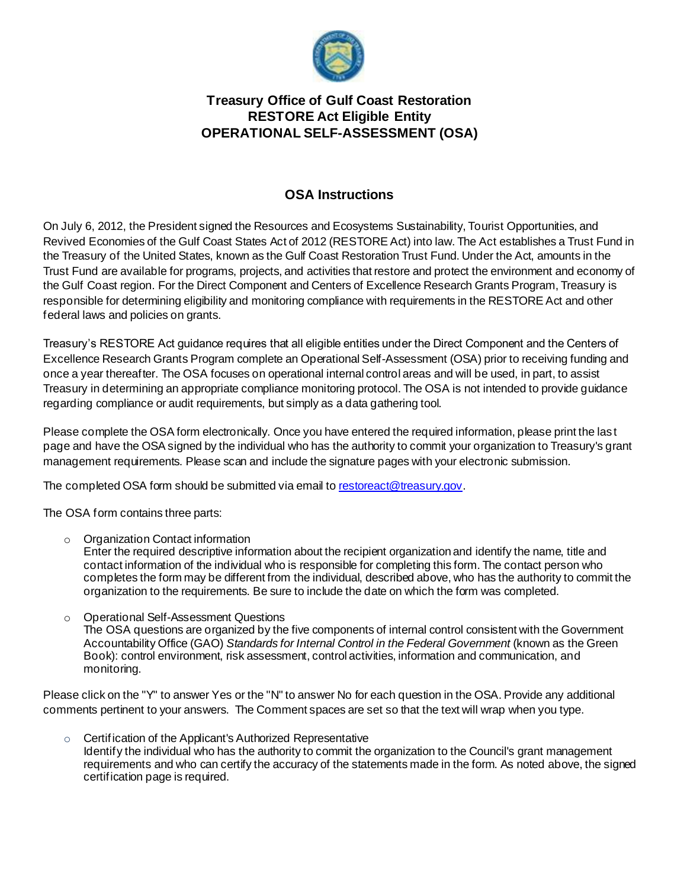

## **Treasury Office of Gulf Coast Restoration RESTORE Act Eligible Entity OPERATIONAL SELF-ASSESSMENT (OSA)**

### **OSA Instructions**

On July 6, 2012, the President signed the Resources and Ecosystems Sustainability, Tourist Opportunities, and Revived Economies of the Gulf Coast States Act of 2012 (RESTORE Act) into law. The Act establishes a Trust Fund in the Treasury of the United States, known as the Gulf Coast Restoration Trust Fund. Under the Act, amounts in the Trust Fund are available for programs, projects, and activities that restore and protect the environment and economy of the Gulf Coast region. For the Direct Component and Centers of Excellence Research Grants Program, Treasury is responsible for determining eligibility and monitoring compliance with requirements in the RESTORE Act and other federal laws and policies on grants.

Treasury's RESTORE Act guidance requires that all eligible entities under the Direct Component and the Centers of Excellence Research Grants Program complete an Operational Self-Assessment (OSA) prior to receiving funding and once a year thereafter. The OSA focuses on operational internal control areas and will be used, in part, to assist Treasury in determining an appropriate compliance monitoring protocol. The OSA is not intended to provide guidance regarding compliance or audit requirements, but simply as a data gathering tool.

Please complete the OSA form electronically. Once you have entered the required information, please print the las t page and have the OSA signed by the individual who has the authority to commit your organization to Treasury's grant management requirements. Please scan and include the signature pages with your electronic submission.

The completed OSA form should be submitted via email to [restoreact@treasury.gov](mailto:restoreact@treasury.gov).

The OSA form contains three parts:

o Organization Contact information

Enter the required descriptive information about the recipient organization and identify the name, title and contact information of the individual who is responsible for completing this form. The contact person who completes the form may be different from the individual, described above, who has the authority to commit the organization to the requirements. Be sure to include the date on which the form was completed.

o Operational Self-Assessment Questions The OSA questions are organized by the five components of internal control consistent with the Government Accountability Office (GAO) *Standards for Internal Control in the Federal Government* (known as the Green Book): control environment, risk assessment, control activities, information and communication, and monitoring.

Please click on the "Y" to answer Yes or the "N" to answer No for each question in the OSA. Provide any additional comments pertinent to your answers. The Comment spaces are set so that the text will wrap when you type.

o Certification of the Applicant's Authorized Representative Identify the individual who has the authority to commit the organization to the Council's grant management requirements and who can certify the accuracy of the statements made in the form. As noted above, the signed certification page is required.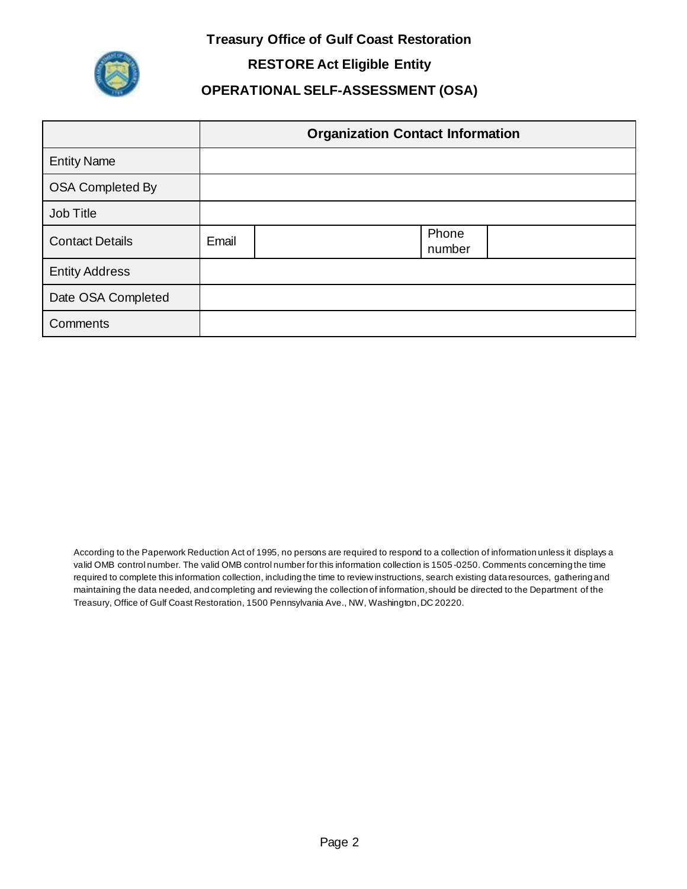**Treasury Office of Gulf Coast Restoration**



**RESTORE Act Eligible Entity**

# **OPERATIONAL SELF-ASSESSMENT (OSA)**

|                         |       | <b>Organization Contact Information</b> |
|-------------------------|-------|-----------------------------------------|
| <b>Entity Name</b>      |       |                                         |
| <b>OSA Completed By</b> |       |                                         |
| Job Title               |       |                                         |
| <b>Contact Details</b>  | Email | Phone<br>number                         |
| <b>Entity Address</b>   |       |                                         |
| Date OSA Completed      |       |                                         |
| Comments                |       |                                         |

According to the Paperwork Reduction Act of 1995, no persons are required to respond to a collection of information unless it displays a valid OMB control number. The valid OMB control number for this information collection is 1505 -0250. Comments concerning the time required to complete this information collection, including the time to review instructions, search existing data resources, gathering and maintaining the data needed, and completing and reviewing the collection of information, should be directed to the Department of the Treasury, Office of Gulf Coast Restoration, 1500 Pennsylvania Ave., NW, Washington, DC 20220.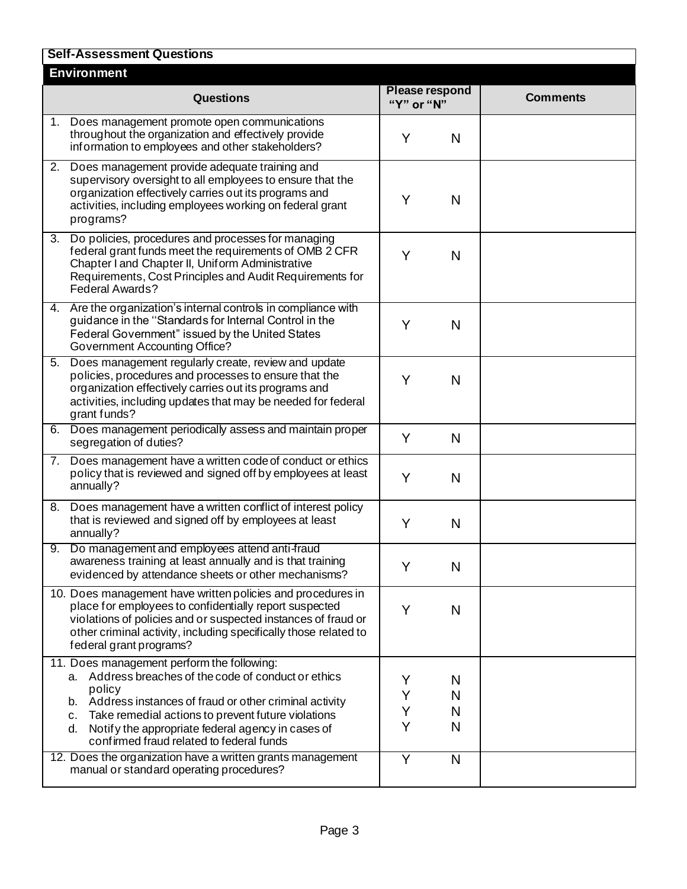|    | <b>Self-Assessment Questions</b>                                                                                                                                                                                                                                                                                                                                                                          |                                     |                       |                 |
|----|-----------------------------------------------------------------------------------------------------------------------------------------------------------------------------------------------------------------------------------------------------------------------------------------------------------------------------------------------------------------------------------------------------------|-------------------------------------|-----------------------|-----------------|
|    | <b>Environment</b>                                                                                                                                                                                                                                                                                                                                                                                        |                                     |                       |                 |
|    | <b>Questions</b>                                                                                                                                                                                                                                                                                                                                                                                          | <b>Please respond</b><br>"Y" or "N" |                       | <b>Comments</b> |
|    | 1. Does management promote open communications<br>throughout the organization and effectively provide<br>information to employees and other stakeholders?                                                                                                                                                                                                                                                 | Y                                   | N                     |                 |
|    | 2. Does management provide adequate training and<br>supervisory oversight to all employees to ensure that the<br>organization effectively carries out its programs and<br>activities, including employees working on federal grant<br>programs?                                                                                                                                                           | Y                                   | N                     |                 |
| 3. | Do policies, procedures and processes for managing<br>federal grant funds meet the requirements of OMB 2 CFR<br>Chapter I and Chapter II, Uniform Administrative<br>Requirements, Cost Principles and Audit Requirements for<br>Federal Awards?                                                                                                                                                           | Y                                   | N                     |                 |
|    | 4. Are the organization's internal controls in compliance with<br>guidance in the "Standards for Internal Control in the<br>Federal Government" issued by the United States<br><b>Government Accounting Office?</b>                                                                                                                                                                                       | Y                                   | N                     |                 |
| 5. | Does management regularly create, review and update<br>policies, procedures and processes to ensure that the<br>organization effectively carries out its programs and<br>activities, including updates that may be needed for federal<br>grant funds?                                                                                                                                                     | Y                                   | N                     |                 |
|    | 6. Does management periodically assess and maintain proper<br>segregation of duties?                                                                                                                                                                                                                                                                                                                      | Y                                   | N                     |                 |
|    | 7. Does management have a written code of conduct or ethics<br>policy that is reviewed and signed off by employees at least<br>annually?                                                                                                                                                                                                                                                                  | Y                                   | N                     |                 |
| 8. | Does management have a written conflict of interest policy<br>that is reviewed and signed off by employees at least<br>annually?                                                                                                                                                                                                                                                                          | Y                                   | N                     |                 |
| 9. | Do management and employees attend anti-fraud<br>awareness training at least annually and is that training<br>evidenced by attendance sheets or other mechanisms?                                                                                                                                                                                                                                         | Y                                   | N                     |                 |
|    | 10. Does management have written policies and procedures in<br>place for employees to confidentially report suspected<br>violations of policies and or suspected instances of fraud or<br>other criminal activity, including specifically those related to<br>federal grant programs?                                                                                                                     | Y                                   | N                     |                 |
|    | 11. Does management perform the following:<br>a. Address breaches of the code of conduct or ethics<br>policy<br>b. Address instances of fraud or other criminal activity<br>Take remedial actions to prevent future violations<br>c.<br>Notify the appropriate federal agency in cases of<br>d.<br>confirmed fraud related to federal funds<br>12. Does the organization have a written grants management | Y<br>Y<br>Y<br>Y<br>Ÿ               | N<br>N<br>N<br>N<br>N |                 |
|    | manual or standard operating procedures?                                                                                                                                                                                                                                                                                                                                                                  |                                     |                       |                 |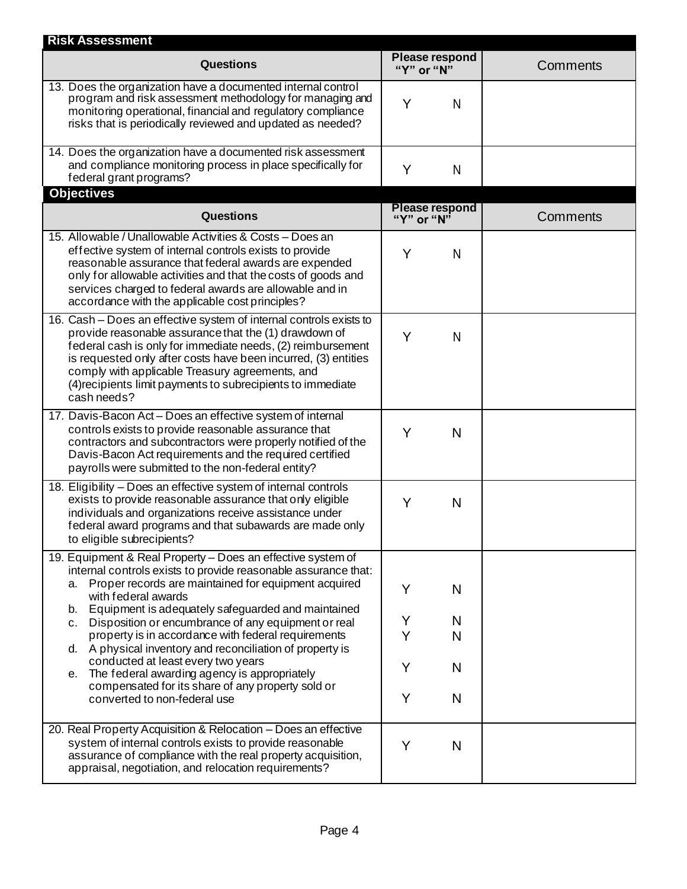| <b>Risk Assessment</b>                                                                                                                                                                                                                                                                                                                                                                        |                                     |                 |
|-----------------------------------------------------------------------------------------------------------------------------------------------------------------------------------------------------------------------------------------------------------------------------------------------------------------------------------------------------------------------------------------------|-------------------------------------|-----------------|
| <b>Questions</b>                                                                                                                                                                                                                                                                                                                                                                              | <b>Please respond</b><br>"Y" or "N" | Comments        |
| 13. Does the organization have a documented internal control<br>program and risk assessment methodology for managing and<br>monitoring operational, financial and regulatory compliance<br>risks that is periodically reviewed and updated as needed?                                                                                                                                         | Y<br>N                              |                 |
| 14. Does the organization have a documented risk assessment<br>and compliance monitoring process in place specifically for<br>federal grant programs?                                                                                                                                                                                                                                         | Y<br>N                              |                 |
| <b>Objectives</b>                                                                                                                                                                                                                                                                                                                                                                             |                                     |                 |
| <b>Questions</b>                                                                                                                                                                                                                                                                                                                                                                              | <b>Please respond</b><br>"Y" or "N" | <b>Comments</b> |
| 15. Allowable / Unallowable Activities & Costs - Does an<br>effective system of internal controls exists to provide<br>reasonable assurance that federal awards are expended<br>only for allowable activities and that the costs of goods and<br>services charged to federal awards are allowable and in<br>accordance with the applicable cost principles?                                   | Y<br>N                              |                 |
| 16. Cash - Does an effective system of internal controls exists to<br>provide reasonable assurance that the (1) drawdown of<br>federal cash is only for immediate needs, (2) reimbursement<br>is requested only after costs have been incurred, (3) entities<br>comply with applicable Treasury agreements, and<br>(4) recipients limit payments to subrecipients to immediate<br>cash needs? | Y<br>N                              |                 |
| 17. Davis-Bacon Act - Does an effective system of internal<br>controls exists to provide reasonable assurance that<br>contractors and subcontractors were properly notified of the<br>Davis-Bacon Act requirements and the required certified<br>payrolls were submitted to the non-federal entity?                                                                                           | Y<br>N                              |                 |
| 18. Eligibility - Does an effective system of internal controls<br>exists to provide reasonable assurance that only eligible<br>individuals and organizations receive assistance under<br>federal award programs and that subawards are made only<br>to eligible subrecipients?                                                                                                               | Y<br>N                              |                 |
| 19. Equipment & Real Property - Does an effective system of<br>internal controls exists to provide reasonable assurance that:<br>a. Proper records are maintained for equipment acquired<br>with federal awards<br>Equipment is adequately safeguarded and maintained<br>b.                                                                                                                   | Y<br>N                              |                 |
| Disposition or encumbrance of any equipment or real<br>c.                                                                                                                                                                                                                                                                                                                                     | Y<br>N                              |                 |
| property is in accordance with federal requirements<br>d. A physical inventory and reconciliation of property is<br>conducted at least every two years                                                                                                                                                                                                                                        | Y<br>N                              |                 |
| The federal awarding agency is appropriately<br>е.<br>compensated for its share of any property sold or                                                                                                                                                                                                                                                                                       | Y<br>N<br>Y<br>N                    |                 |
| converted to non-federal use                                                                                                                                                                                                                                                                                                                                                                  |                                     |                 |
| 20. Real Property Acquisition & Relocation - Does an effective<br>system of internal controls exists to provide reasonable<br>assurance of compliance with the real property acquisition,<br>appraisal, negotiation, and relocation requirements?                                                                                                                                             | Y<br>N                              |                 |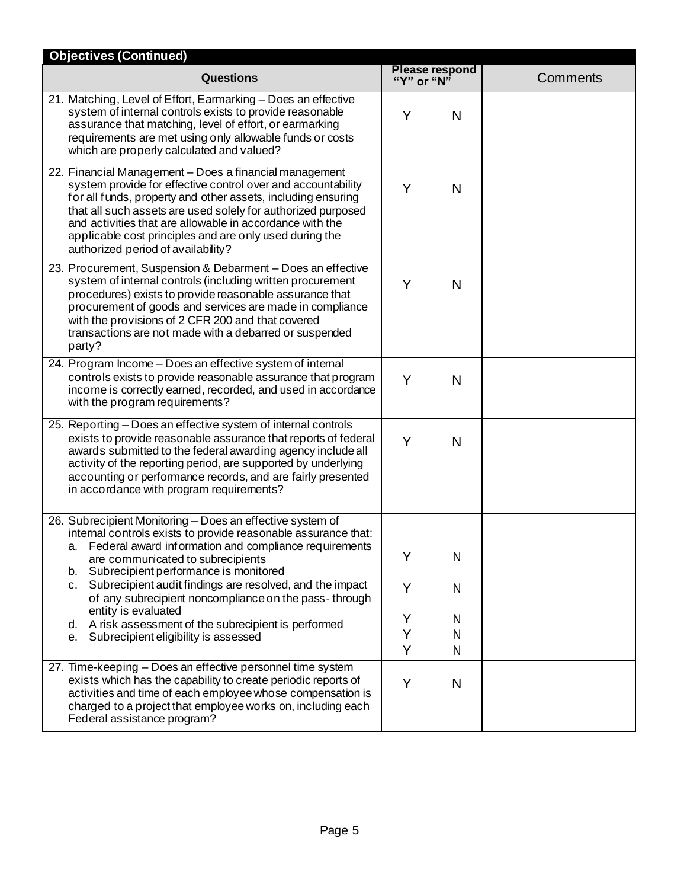| <b>Objectives (Continued)</b>                                                                                                                                                                                                                                                                                                                                                                                                                                                                                                     |                                     |                 |
|-----------------------------------------------------------------------------------------------------------------------------------------------------------------------------------------------------------------------------------------------------------------------------------------------------------------------------------------------------------------------------------------------------------------------------------------------------------------------------------------------------------------------------------|-------------------------------------|-----------------|
| <b>Questions</b>                                                                                                                                                                                                                                                                                                                                                                                                                                                                                                                  | <b>Please respond</b><br>"Y" or "N" | <b>Comments</b> |
| 21. Matching, Level of Effort, Earmarking - Does an effective<br>system of internal controls exists to provide reasonable<br>assurance that matching, level of effort, or earmarking<br>requirements are met using only allowable funds or costs<br>which are properly calculated and valued?                                                                                                                                                                                                                                     | Y<br>N                              |                 |
| 22. Financial Management - Does a financial management<br>system provide for effective control over and accountability<br>for all funds, property and other assets, including ensuring<br>that all such assets are used solely for authorized purposed<br>and activities that are allowable in accordance with the<br>applicable cost principles and are only used during the<br>authorized period of availability?                                                                                                               | Y<br>N                              |                 |
| 23. Procurement, Suspension & Debarment - Does an effective<br>system of internal controls (including written procurement<br>procedures) exists to provide reasonable assurance that<br>procurement of goods and services are made in compliance<br>with the provisions of 2 CFR 200 and that covered<br>transactions are not made with a debarred or suspended<br>party?                                                                                                                                                         | Y<br>N                              |                 |
| 24. Program Income - Does an effective system of internal<br>controls exists to provide reasonable assurance that program<br>income is correctly earned, recorded, and used in accordance<br>with the program requirements?                                                                                                                                                                                                                                                                                                       | Y<br>N                              |                 |
| 25. Reporting - Does an effective system of internal controls<br>exists to provide reasonable assurance that reports of federal<br>awards submitted to the federal awarding agency include all<br>activity of the reporting period, are supported by underlying<br>accounting or performance records, and are fairly presented<br>in accordance with program requirements?                                                                                                                                                        | Y<br>N                              |                 |
| 26. Subrecipient Monitoring - Does an effective system of<br>internal controls exists to provide reasonable assurance that:<br>Federal award information and compliance requirements<br>а.<br>are communicated to subrecipients<br>b. Subrecipient performance is monitored<br>c. Subrecipient audit findings are resolved, and the impact<br>of any subrecipient noncompliance on the pass-through<br>entity is evaluated<br>d. A risk assessment of the subrecipient is performed<br>Subrecipient eligibility is assessed<br>е. | N<br>Y<br>N<br>Υ<br>N<br>Y<br>N     |                 |
| 27. Time-keeping - Does an effective personnel time system<br>exists which has the capability to create periodic reports of<br>activities and time of each employee whose compensation is<br>charged to a project that employee works on, including each<br>Federal assistance program?                                                                                                                                                                                                                                           | Y<br>N<br>Y<br>N                    |                 |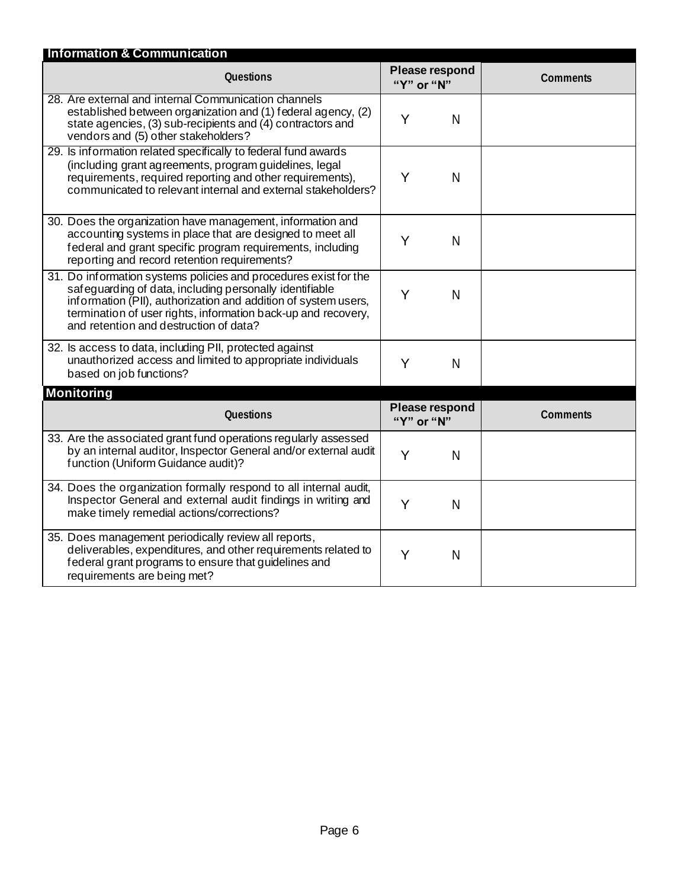| <b>Information &amp; Communication</b>                                                                                                                                                                                                                                                                   |                                     |                 |  |
|----------------------------------------------------------------------------------------------------------------------------------------------------------------------------------------------------------------------------------------------------------------------------------------------------------|-------------------------------------|-----------------|--|
| <b>Questions</b>                                                                                                                                                                                                                                                                                         | <b>Please respond</b><br>"Y" or "N" | Comments        |  |
| 28. Are external and internal Communication channels<br>established between organization and (1) federal agency, (2)<br>state agencies, (3) sub-recipients and (4) contractors and<br>vendors and (5) other stakeholders?                                                                                | Y<br>N                              |                 |  |
| 29. Is information related specifically to federal fund awards<br>(including grant agreements, program guidelines, legal<br>requirements, required reporting and other requirements),<br>communicated to relevant internal and external stakeholders?                                                    | Y<br>N                              |                 |  |
| 30. Does the organization have management, information and<br>accounting systems in place that are designed to meet all<br>federal and grant specific program requirements, including<br>reporting and record retention requirements?                                                                    | Y<br>N                              |                 |  |
| 31. Do information systems policies and procedures exist for the<br>safeguarding of data, including personally identifiable<br>information (PII), authorization and addition of system users,<br>termination of user rights, information back-up and recovery,<br>and retention and destruction of data? | Y<br>N                              |                 |  |
| 32. Is access to data, including PII, protected against<br>unauthorized access and limited to appropriate individuals<br>based on job functions?                                                                                                                                                         | Y<br>N                              |                 |  |
| <b>Monitoring</b>                                                                                                                                                                                                                                                                                        |                                     |                 |  |
| <b>Questions</b>                                                                                                                                                                                                                                                                                         | Please respond<br>"Y" or "N"        | <b>Comments</b> |  |
| 33. Are the associated grant fund operations regularly assessed<br>by an internal auditor, Inspector General and/or external audit<br>function (Uniform Guidance audit)?                                                                                                                                 | Y<br>N                              |                 |  |
| 34. Does the organization formally respond to all internal audit,<br>Inspector General and external audit findings in writing and<br>make timely remedial actions/corrections?                                                                                                                           | Y<br>N                              |                 |  |
| 35. Does management periodically review all reports,<br>deliverables, expenditures, and other requirements related to<br>federal grant programs to ensure that guidelines and<br>requirements are being met?                                                                                             | Y<br>N                              |                 |  |